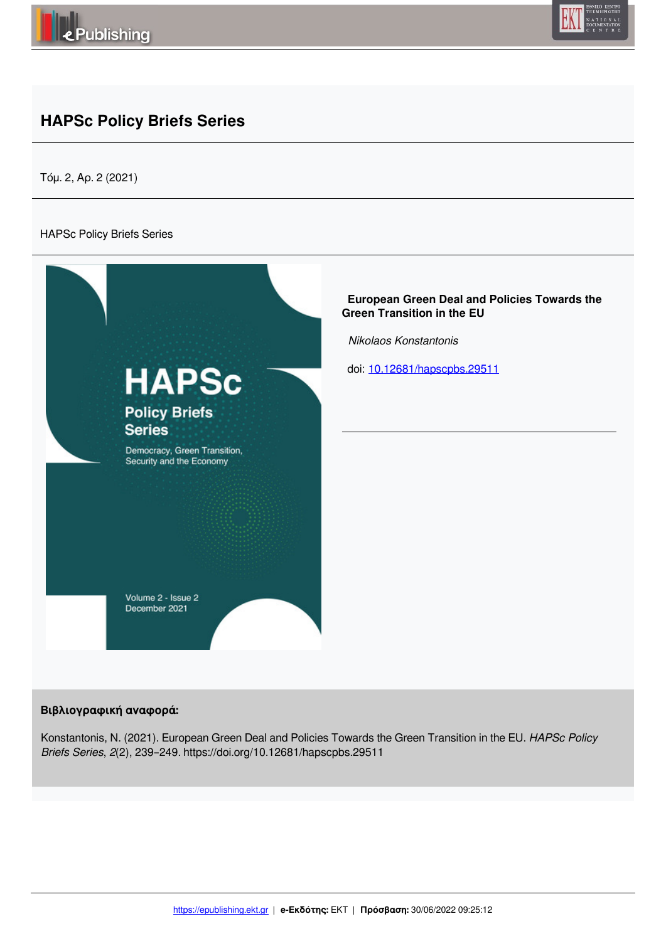



# **HAPSc Policy Briefs Series**

Τόμ. 2, Αρ. 2 (2021)

#### HAPSc Policy Briefs Series



#### **Βιβλιογραφική αναφορά:**

Konstantonis, N. (2021). European Green Deal and Policies Towards the Green Transition in the EU. *HAPSc Policy Briefs Series*, *2*(2), 239–249. https://doi.org/10.12681/hapscpbs.29511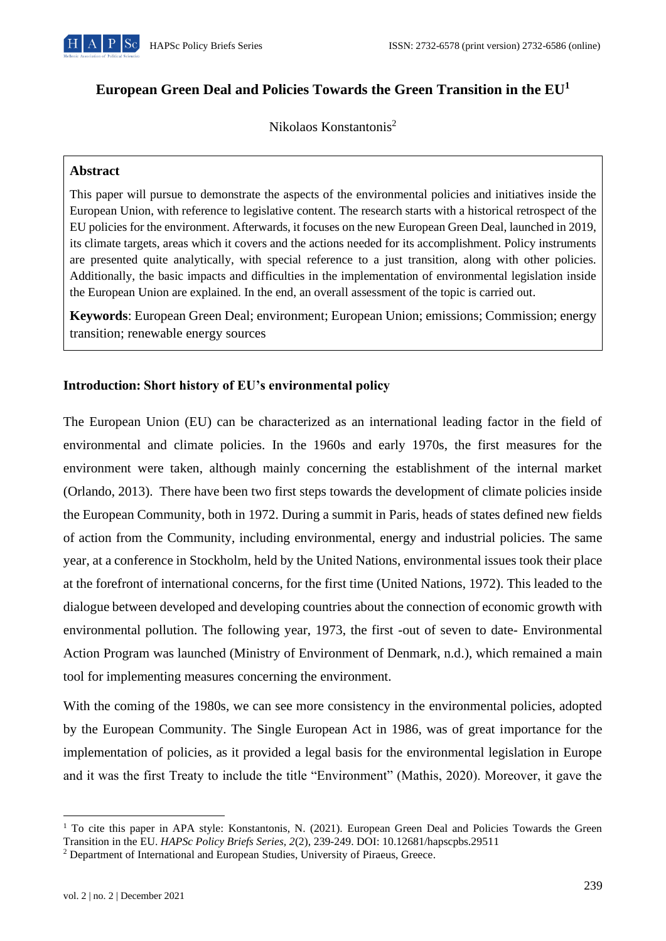

# **European Green Deal and Policies Towards the Green Transition in the EU<sup>1</sup>**

Nikolaos Konstantonis<sup>2</sup>

# **Abstract**

This paper will pursue to demonstrate the aspects of the environmental policies and initiatives inside the European Union, with reference to legislative content. The research starts with a historical retrospect of the EU policies for the environment. Afterwards, it focuses on the new European Green Deal, launched in 2019, its climate targets, areas which it covers and the actions needed for its accomplishment. Policy instruments are presented quite analytically, with special reference to a just transition, along with other policies. Additionally, the basic impacts and difficulties in the implementation of environmental legislation inside the European Union are explained. In the end, an overall assessment of the topic is carried out.

**Keywords**: European Green Deal; environment; European Union; emissions; Commission; energy transition; renewable energy sources

# **Introduction: Short history of EU's environmental policy**

The European Union (EU) can be characterized as an international leading factor in the field of environmental and climate policies. In the 1960s and early 1970s, the first measures for the environment were taken, although mainly concerning the establishment of the internal market (Orlando, 2013). There have been two first steps towards the development of climate policies inside the European Community, both in 1972. During a summit in Paris, heads of states defined new fields of action from the Community, including environmental, energy and industrial policies. The same year, at a conference in Stockholm, held by the United Nations, environmental issues took their place at the forefront of international concerns, for the first time (United Nations, 1972). This leaded to the dialogue between developed and developing countries about the connection of economic growth with environmental pollution. The following year, 1973, the first -out of seven to date- Environmental Action Program was launched (Ministry of Environment of Denmark, n.d.), which remained a main tool for implementing measures concerning the environment.

With the coming of the 1980s, we can see more consistency in the environmental policies, adopted by the European Community. The Single European Act in 1986, was of great importance for the implementation of policies, as it provided a legal basis for the environmental legislation in Europe and it was the first Treaty to include the title "Environment" (Mathis, 2020). Moreover, it gave the

<sup>&</sup>lt;sup>1</sup> To cite this paper in APA style: Konstantonis, N. (2021). European Green Deal and Policies Towards the Green Transition in the EU. *HAPSc Policy Briefs Series, 2*(2), 239-249. DOI: 10.12681/hapscpbs.29511

<sup>&</sup>lt;sup>2</sup> Department of International and European Studies, University of Piraeus, Greece.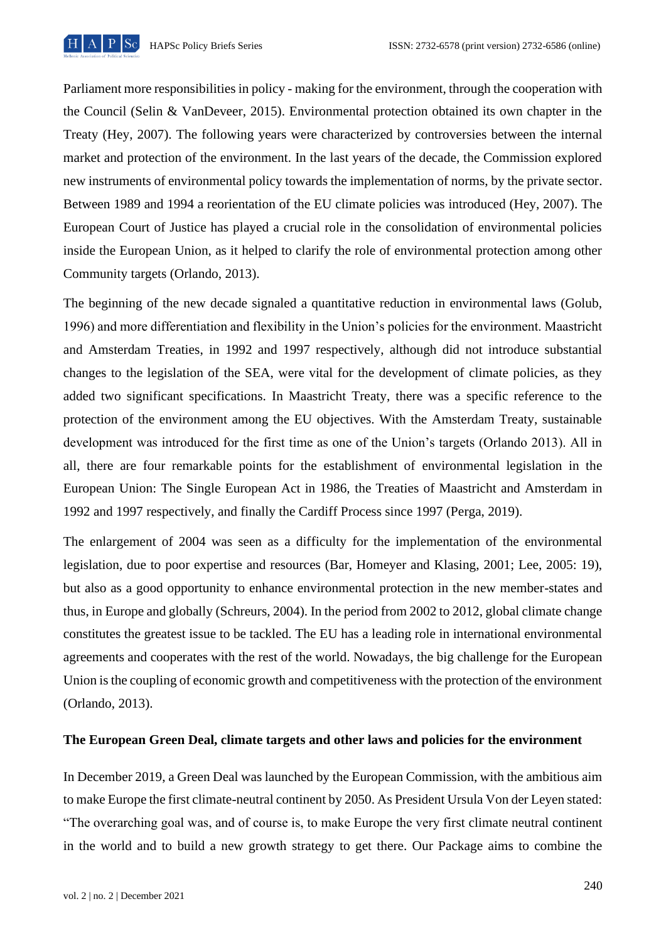

Parliament more responsibilities in policy - making for the environment, through the cooperation with the Council (Selin & VanDeveer, 2015). Environmental protection obtained its own chapter in the Treaty (Hey, 2007). The following years were characterized by controversies between the internal market and protection of the environment. In the last years of the decade, the Commission explored new instruments of environmental policy towards the implementation of norms, by the private sector. Between 1989 and 1994 a reorientation of the EU climate policies was introduced (Hey, 2007). The European Court of Justice has played a crucial role in the consolidation of environmental policies inside the European Union, as it helped to clarify the role of environmental protection among other Community targets (Orlando, 2013).

The beginning of the new decade signaled a quantitative reduction in environmental laws (Golub, 1996) and more differentiation and flexibility in the Union's policies for the environment. Maastricht and Amsterdam Treaties, in 1992 and 1997 respectively, although did not introduce substantial changes to the legislation of the SEA, were vital for the development of climate policies, as they added two significant specifications. In Maastricht Treaty, there was a specific reference to the protection of the environment among the EU objectives. With the Amsterdam Treaty, sustainable development was introduced for the first time as one of the Union's targets (Orlando 2013). All in all, there are four remarkable points for the establishment of environmental legislation in the European Union: The Single European Act in 1986, the Treaties of Maastricht and Amsterdam in 1992 and 1997 respectively, and finally the Cardiff Process since 1997 (Perga, 2019).

The enlargement of 2004 was seen as a difficulty for the implementation of the environmental legislation, due to poor expertise and resources (Bar, Homeyer and Klasing, 2001; Lee, 2005: 19), but also as a good opportunity to enhance environmental protection in the new member-states and thus, in Europe and globally (Schreurs, 2004). In the period from 2002 to 2012, global climate change constitutes the greatest issue to be tackled. The EU has a leading role in international environmental agreements and cooperates with the rest of the world. Nowadays, the big challenge for the European Union is the coupling of economic growth and competitiveness with the protection of the environment (Orlando, 2013).

# **The European Green Deal, climate targets and other laws and policies for the environment**

In December 2019, a Green Deal was launched by the European Commission, with the ambitious aim to make Europe the first climate-neutral continent by 2050. As President Ursula Von der Leyen stated: "The overarching goal was, and of course is, to make Europe the very first climate neutral continent in the world and to build a new growth strategy to get there. Our Package aims to combine the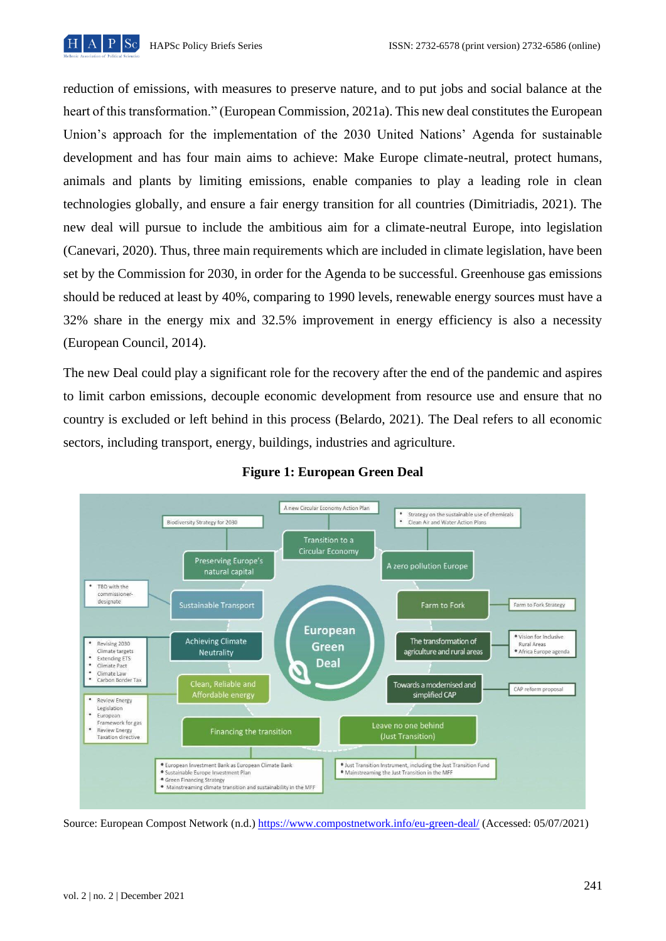

reduction of emissions, with measures to preserve nature, and to put jobs and social balance at the heart of this transformation." (European Commission, 2021a). This new deal constitutes the European Union's approach for the implementation of the 2030 United Nations' Agenda for sustainable development and has four main aims to achieve: Make Europe climate-neutral, protect humans, animals and plants by limiting emissions, enable companies to play a leading role in clean technologies globally, and ensure a fair energy transition for all countries (Dimitriadis, 2021). The new deal will pursue to include the ambitious aim for a climate-neutral Europe, into legislation (Canevari, 2020). Thus, three main requirements which are included in climate legislation, have been set by the Commission for 2030, in order for the Agenda to be successful. Greenhouse gas emissions should be reduced at least by 40%, comparing to 1990 levels, renewable energy sources must have a 32% share in the energy mix and 32.5% improvement in energy efficiency is also a necessity (European Council, 2014).

The new Deal could play a significant role for the recovery after the end of the pandemic and aspires to limit carbon emissions, decouple economic development from resource use and ensure that no country is excluded or left behind in this process (Belardo, 2021). The Deal refers to all economic sectors, including transport, energy, buildings, industries and agriculture.



#### **Figure 1: European Green Deal**

Source: European Compost Network (n.d.) https://www.compostnetwork.info/eu-green-deal/ (Accessed: 05/07/2021)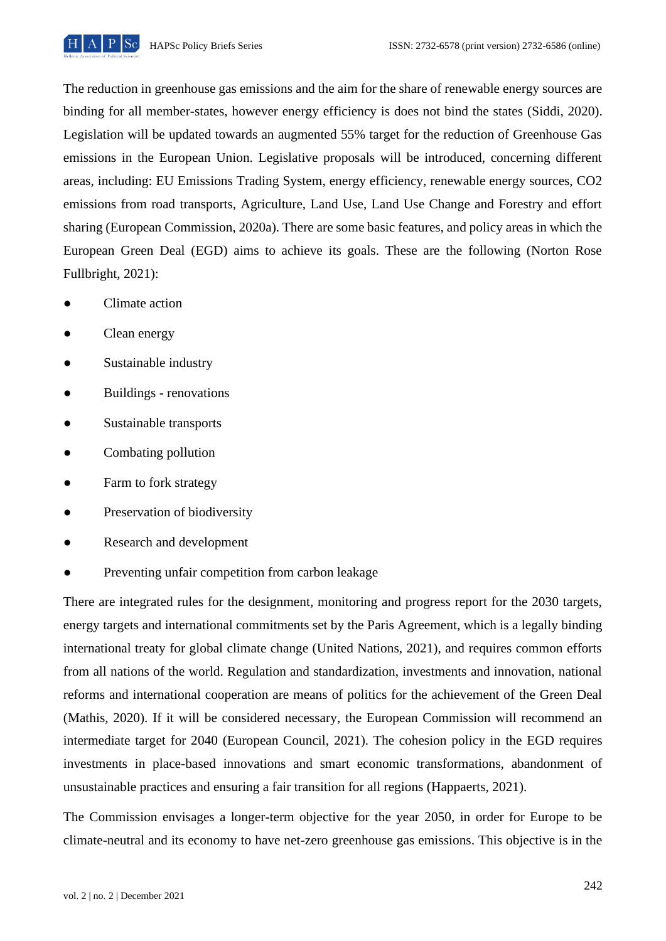

The reduction in greenhouse gas emissions and the aim for the share of renewable energy sources are binding for all member-states, however energy efficiency is does not bind the states (Siddi, 2020). Legislation will be updated towards an augmented 55% target for the reduction of Greenhouse Gas emissions in the European Union. Legislative proposals will be introduced, concerning different areas, including: EU Emissions Trading System, energy efficiency, renewable energy sources, CO2 emissions from road transports, Agriculture, Land Use, Land Use Change and Forestry and effort sharing (European Commission, 2020a). There are some basic features, and policy areas in which the European Green Deal (EGD) aims to achieve its goals. These are the following (Norton Rose Fullbright, 2021):

- Climate action
- Clean energy
- Sustainable industry
- Buildings renovations
- Sustainable transports
- Combating pollution
- Farm to fork strategy
- Preservation of biodiversity
- Research and development
- Preventing unfair competition from carbon leakage

There are integrated rules for the designment, monitoring and progress report for the 2030 targets, energy targets and international commitments set by the Paris Agreement, which is a legally binding international treaty for global climate change (United Nations, 2021), and requires common efforts from all nations of the world. Regulation and standardization, investments and innovation, national reforms and international cooperation are means of politics for the achievement of the Green Deal (Mathis, 2020). If it will be considered necessary, the European Commission will recommend an intermediate target for 2040 (European Council, 2021). The cohesion policy in the EGD requires investments in place-based innovations and smart economic transformations, abandonment of unsustainable practices and ensuring a fair transition for all regions (Happaerts, 2021).

The Commission envisages a longer-term objective for the year 2050, in order for Europe to be climate-neutral and its economy to have net-zero greenhouse gas emissions. This objective is in the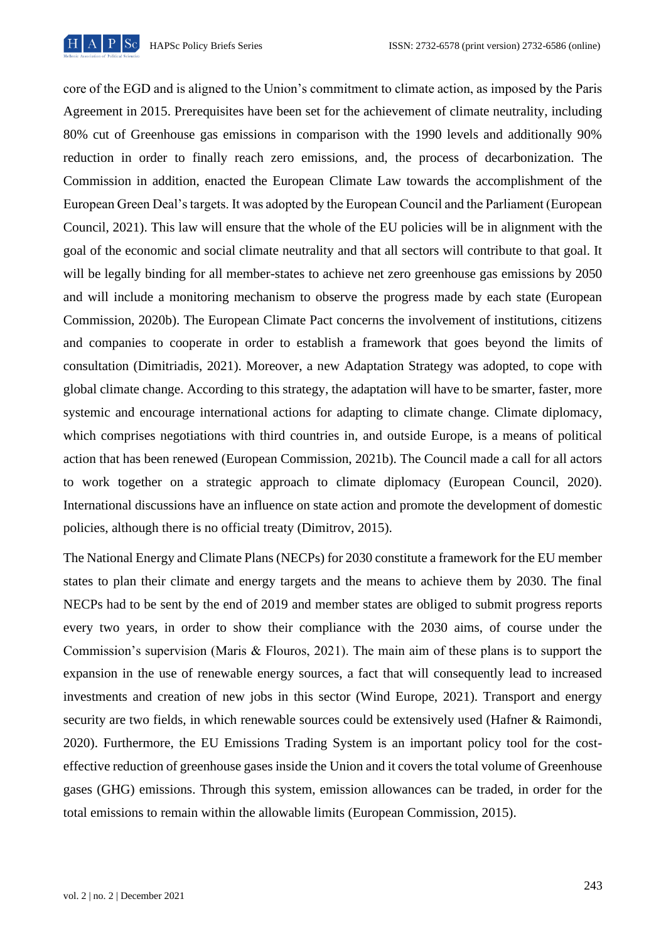

core of the EGD and is aligned to the Union's commitment to climate action, as imposed by the Paris Agreement in 2015. Prerequisites have been set for the achievement of climate neutrality, including 80% cut of Greenhouse gas emissions in comparison with the 1990 levels and additionally 90% reduction in order to finally reach zero emissions, and, the process of decarbonization. The Commission in addition, enacted the European Climate Law towards the accomplishment of the European Green Deal's targets. It was adopted by the European Council and the Parliament (European Council, 2021). This law will ensure that the whole of the EU policies will be in alignment with the goal of the economic and social climate neutrality and that all sectors will contribute to that goal. It will be legally binding for all member-states to achieve net zero greenhouse gas emissions by 2050 and will include a monitoring mechanism to observe the progress made by each state (European Commission, 2020b). The European Climate Pact concerns the involvement of institutions, citizens and companies to cooperate in order to establish a framework that goes beyond the limits of consultation (Dimitriadis, 2021). Moreover, a new Adaptation Strategy was adopted, to cope with global climate change. According to this strategy, the adaptation will have to be smarter, faster, more systemic and encourage international actions for adapting to climate change. Climate diplomacy, which comprises negotiations with third countries in, and outside Europe, is a means of political action that has been renewed (European Commission, 2021b). The Council made a call for all actors to work together on a strategic approach to climate diplomacy (European Council, 2020). International discussions have an influence on state action and promote the development of domestic policies, although there is no official treaty (Dimitrov, 2015).

The National Energy and Climate Plans (NECPs) for 2030 constitute a framework for the EU member states to plan their climate and energy targets and the means to achieve them by 2030. The final NECPs had to be sent by the end of 2019 and member states are obliged to submit progress reports every two years, in order to show their compliance with the 2030 aims, of course under the Commission's supervision (Maris & Flouros, 2021). The main aim of these plans is to support the expansion in the use of renewable energy sources, a fact that will consequently lead to increased investments and creation of new jobs in this sector (Wind Europe, 2021). Transport and energy security are two fields, in which renewable sources could be extensively used (Hafner & Raimondi, 2020). Furthermore, the EU Emissions Trading System is an important policy tool for the costeffective reduction of greenhouse gases inside the Union and it covers the total volume of Greenhouse gases (GHG) emissions. Through this system, emission allowances can be traded, in order for the total emissions to remain within the allowable limits (European Commission, 2015).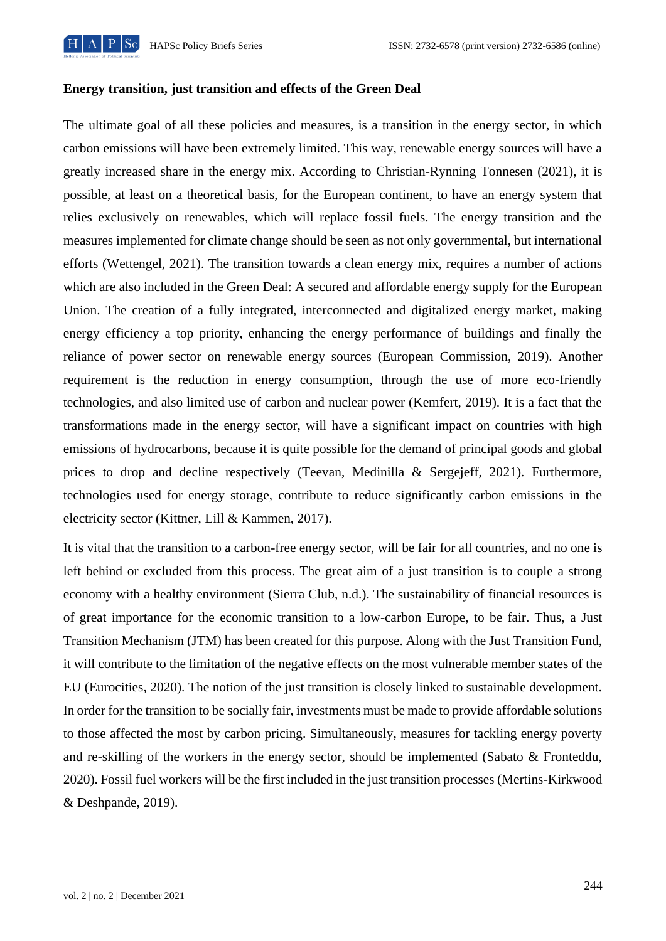

#### **Energy transition, just transition and effects of the Green Deal**

The ultimate goal of all these policies and measures, is a transition in the energy sector, in which carbon emissions will have been extremely limited. This way, renewable energy sources will have a greatly increased share in the energy mix. According to Christian-Rynning Tonnesen (2021), it is possible, at least on a theoretical basis, for the European continent, to have an energy system that relies exclusively on renewables, which will replace fossil fuels. The energy transition and the measures implemented for climate change should be seen as not only governmental, but international efforts (Wettengel, 2021). The transition towards a clean energy mix, requires a number of actions which are also included in the Green Deal: A secured and affordable energy supply for the European Union. The creation of a fully integrated, interconnected and digitalized energy market, making energy efficiency a top priority, enhancing the energy performance of buildings and finally the reliance of power sector on renewable energy sources (European Commission, 2019). Another requirement is the reduction in energy consumption, through the use of more eco-friendly technologies, and also limited use of carbon and nuclear power (Kemfert, 2019). It is a fact that the transformations made in the energy sector, will have a significant impact on countries with high emissions of hydrocarbons, because it is quite possible for the demand of principal goods and global prices to drop and decline respectively (Teevan, Medinilla & Sergejeff, 2021). Furthermore, technologies used for energy storage, contribute to reduce significantly carbon emissions in the electricity sector (Kittner, Lill & Kammen, 2017).

It is vital that the transition to a carbon-free energy sector, will be fair for all countries, and no one is left behind or excluded from this process. The great aim of a just transition is to couple a strong economy with a healthy environment (Sierra Club, n.d.). The sustainability of financial resources is of great importance for the economic transition to a low-carbon Europe, to be fair. Thus, a Just Transition Mechanism (JTM) has been created for this purpose. Along with the Just Transition Fund, it will contribute to the limitation of the negative effects on the most vulnerable member states of the EU (Eurocities, 2020). The notion of the just transition is closely linked to sustainable development. In order for the transition to be socially fair, investments must be made to provide affordable solutions to those affected the most by carbon pricing. Simultaneously, measures for tackling energy poverty and re-skilling of the workers in the energy sector, should be implemented (Sabato & Fronteddu, 2020). Fossil fuel workers will be the first included in the just transition processes (Mertins-Kirkwood & Deshpande, 2019).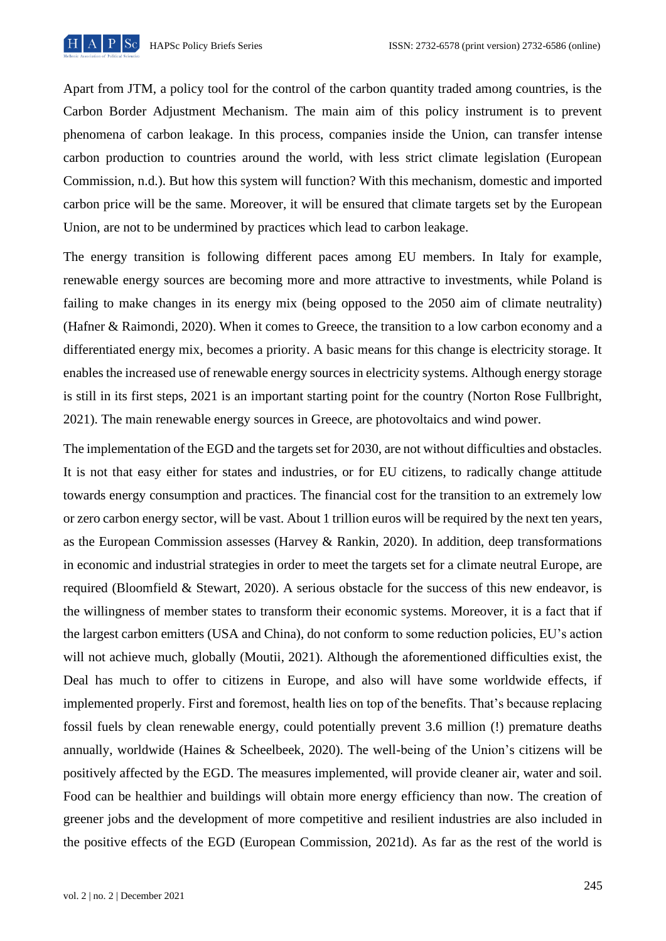

Apart from JTM, a policy tool for the control of the carbon quantity traded among countries, is the Carbon Border Adjustment Mechanism. The main aim of this policy instrument is to prevent phenomena of carbon leakage. In this process, companies inside the Union, can transfer intense carbon production to countries around the world, with less strict climate legislation (European Commission, n.d.). But how this system will function? With this mechanism, domestic and imported carbon price will be the same. Moreover, it will be ensured that climate targets set by the European Union, are not to be undermined by practices which lead to carbon leakage.

The energy transition is following different paces among EU members. In Italy for example, renewable energy sources are becoming more and more attractive to investments, while Poland is failing to make changes in its energy mix (being opposed to the 2050 aim of climate neutrality) (Hafner & Raimondi, 2020). When it comes to Greece, the transition to a low carbon economy and a differentiated energy mix, becomes a priority. A basic means for this change is electricity storage. It enables the increased use of renewable energy sources in electricity systems. Although energy storage is still in its first steps, 2021 is an important starting point for the country (Norton Rose Fullbright, 2021). The main renewable energy sources in Greece, are photovoltaics and wind power.

The implementation of the EGD and the targets set for 2030, are not without difficulties and obstacles. It is not that easy either for states and industries, or for EU citizens, to radically change attitude towards energy consumption and practices. The financial cost for the transition to an extremely low or zero carbon energy sector, will be vast. About 1 trillion euros will be required by the next ten years, as the European Commission assesses (Harvey & Rankin, 2020). In addition, deep transformations in economic and industrial strategies in order to meet the targets set for a climate neutral Europe, are required (Bloomfield & Stewart, 2020). A serious obstacle for the success of this new endeavor, is the willingness of member states to transform their economic systems. Moreover, it is a fact that if the largest carbon emitters (USA and China), do not conform to some reduction policies, EU's action will not achieve much, globally (Moutii, 2021). Although the aforementioned difficulties exist, the Deal has much to offer to citizens in Europe, and also will have some worldwide effects, if implemented properly. First and foremost, health lies on top of the benefits. That's because replacing fossil fuels by clean renewable energy, could potentially prevent 3.6 million (!) premature deaths annually, worldwide (Haines & Scheelbeek, 2020). The well-being of the Union's citizens will be positively affected by the EGD. The measures implemented, will provide cleaner air, water and soil. Food can be healthier and buildings will obtain more energy efficiency than now. The creation of greener jobs and the development of more competitive and resilient industries are also included in the positive effects of the EGD (European Commission, 2021d). As far as the rest of the world is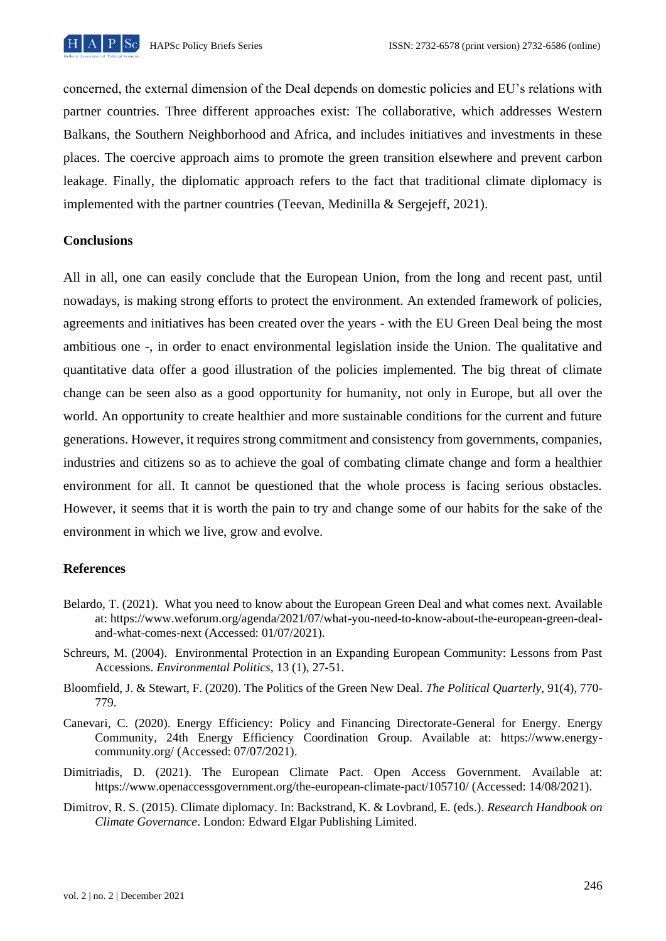

concerned, the external dimension of the Deal depends on domestic policies and EU's relations with partner countries. Three different approaches exist: The collaborative, which addresses Western Balkans, the Southern Neighborhood and Africa, and includes initiatives and investments in these places. The coercive approach aims to promote the green transition elsewhere and prevent carbon leakage. Finally, the diplomatic approach refers to the fact that traditional climate diplomacy is implemented with the partner countries (Teevan, Medinilla & Sergejeff, 2021).

# **Conclusions**

All in all, one can easily conclude that the European Union, from the long and recent past, until nowadays, is making strong efforts to protect the environment. An extended framework of policies, agreements and initiatives has been created over the years - with the EU Green Deal being the most ambitious one -, in order to enact environmental legislation inside the Union. The qualitative and quantitative data offer a good illustration of the policies implemented. The big threat of climate change can be seen also as a good opportunity for humanity, not only in Europe, but all over the world. An opportunity to create healthier and more sustainable conditions for the current and future generations. However, it requires strong commitment and consistency from governments, companies, industries and citizens so as to achieve the goal of combating climate change and form a healthier environment for all. It cannot be questioned that the whole process is facing serious obstacles. However, it seems that it is worth the pain to try and change some of our habits for the sake of the environment in which we live, grow and evolve.

# **References**

- Belardo, T. (2021). What you need to know about the European Green Deal and what comes next. Available at: https://www.weforum.org/agenda/2021/07/what-you-need-to-know-about-the-european-green-dealand-what-comes-next (Accessed: 01/07/2021).
- Schreurs, M. (2004). Environmental Protection in an Expanding European Community: Lessons from Past Accessions. *Environmental Politics*, 13 (1), 27-51.
- Bloomfield, J. & Stewart, F. (2020). The Politics of the Green New Deal. *Τhe Political Quarterly*, 91(4), 770- 779.
- Canevari, C. (2020). Energy Efficiency: Policy and Financing Directorate-General for Energy. Energy Community, 24th Energy Efficiency Coordination Group. Available at: https://www.energycommunity.org/ (Accessed: 07/07/2021).
- Dimitriadis, D. (2021). The European Climate Pact. Open Access Government. Available at: https://www.openaccessgovernment.org/the-european-climate-pact/105710/ (Accessed: 14/08/2021).
- Dimitrov, R. S. (2015). Climate diplomacy. In: Backstrand, K. & Lovbrand, E. (eds.). *Research Handbook on Climate Governance*. London: Edward Elgar Publishing Limited.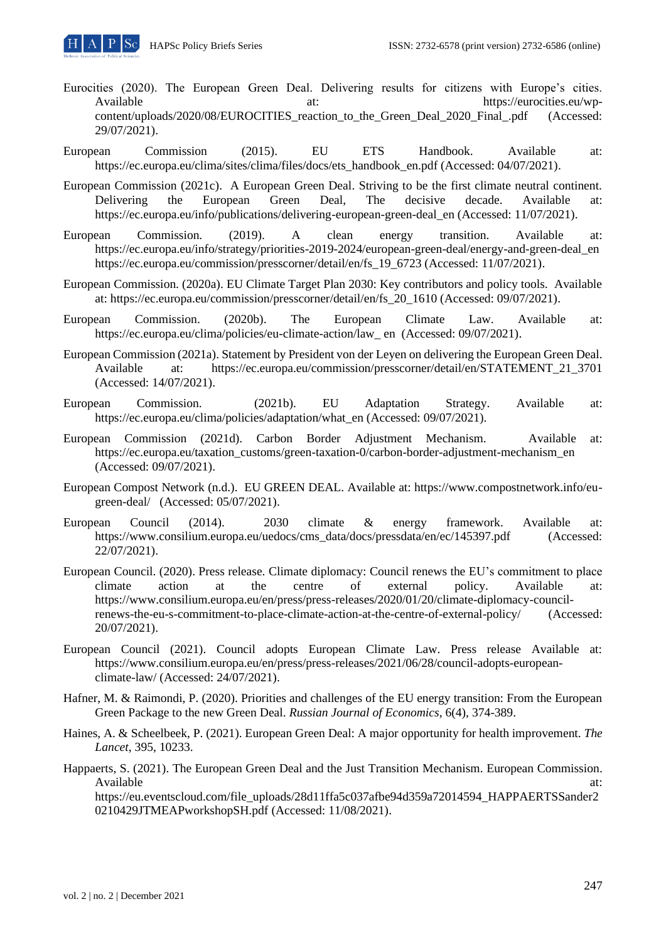- Eurocities (2020). The European Green Deal. Delivering results for citizens with Europe's cities. Available at: https://eurocities.eu/wpcontent/uploads/2020/08/EUROCITIES\_reaction\_to\_the\_Green\_Deal\_2020\_Final\_.pdf (Accessed: 29/07/2021).
- European Commission (2015). EU ETS Handbook. Available at: https://ec.europa.eu/clima/sites/clima/files/docs/ets\_handbook\_en.pdf (Accessed: 04/07/2021).
- European Commission (2021c). A European Green Deal. Striving to be the first climate neutral continent. Delivering the European Green Deal, The decisive decade. Available at: https://ec.europa.eu/info/publications/delivering-european-green-deal\_en (Accessed: 11/07/2021).
- European Commission. (2019). A clean energy transition. Available at: https://ec.europa.eu/info/strategy/priorities-2019-2024/european-green-deal/energy-and-green-deal\_en https://ec.europa.eu/commission/presscorner/detail/en/fs\_19\_6723 (Accessed: 11/07/2021).
- European Commission. (2020a). EU Climate Target Plan 2030: Key contributors and policy tools. Available at: https://ec.europa.eu/commission/presscorner/detail/en/fs\_20\_1610 (Accessed: 09/07/2021).
- European Commission. (2020b). The European Climate Law. Available at: https://ec.europa.eu/clima/policies/eu-climate-action/law\_ en (Accessed: 09/07/2021).
- European Commission (2021a). Statement by President von der Leyen on delivering the European Green Deal. Available at: https://ec.europa.eu/commission/presscorner/detail/en/STATEMENT\_21\_3701 (Accessed: 14/07/2021).
- European Commission. (2021b). EU Adaptation Strategy. Available at: https://ec.europa.eu/clima/policies/adaptation/what\_en (Accessed: 09/07/2021).
- European Commission (2021d). Carbon Border Adjustment Mechanism. Available at: https://ec.europa.eu/taxation\_customs/green-taxation-0/carbon-border-adjustment-mechanism\_en (Accessed: 09/07/2021).
- European Compost Network (n.d.). EU GREEN DEAL. Available at: https://www.compostnetwork.info/eugreen-deal/ (Accessed: 05/07/2021).
- European Council (2014). 2030 climate & energy framework. Available at: https://www.consilium.europa.eu/uedocs/cms\_data/docs/pressdata/en/ec/145397.pdf (Accessed: 22/07/2021).
- European Council. (2020). Press release. Climate diplomacy: Council renews the EU's commitment to place climate action at the centre of external policy. Available at: https://www.consilium.europa.eu/en/press/press-releases/2020/01/20/climate-diplomacy-councilrenews-the-eu-s-commitment-to-place-climate-action-at-the-centre-of-external-policy/ (Accessed: 20/07/2021).
- European Council (2021). Council adopts European Climate Law. Press release Available at: https://www.consilium.europa.eu/en/press/press-releases/2021/06/28/council-adopts-europeanclimate-law/ (Accessed: 24/07/2021).
- Hafner, M. & Raimondi, P. (2020). Priorities and challenges of the EU energy transition: From the European Green Package to the new Green Deal. *Russian Journal of Economics,* 6(4), 374-389.
- Haines, A. & Scheelbeek, P. (2021). European Green Deal: A major opportunity for health improvement. *The Lancet*, 395, 10233.
- Happaerts, S. (2021). The European Green Deal and the Just Transition Mechanism. European Commission. Available at: and a set of the set of the set of the set of the set of the set of the set of the set of the set of the set of the set of the set of the set of the set of the set of the set of the set of the set of the set

https://eu.eventscloud.com/file\_uploads/28d11ffa5c037afbe94d359a72014594\_HAPPAERTSSander2 0210429JTMEAPworkshopSH.pdf (Accessed: 11/08/2021).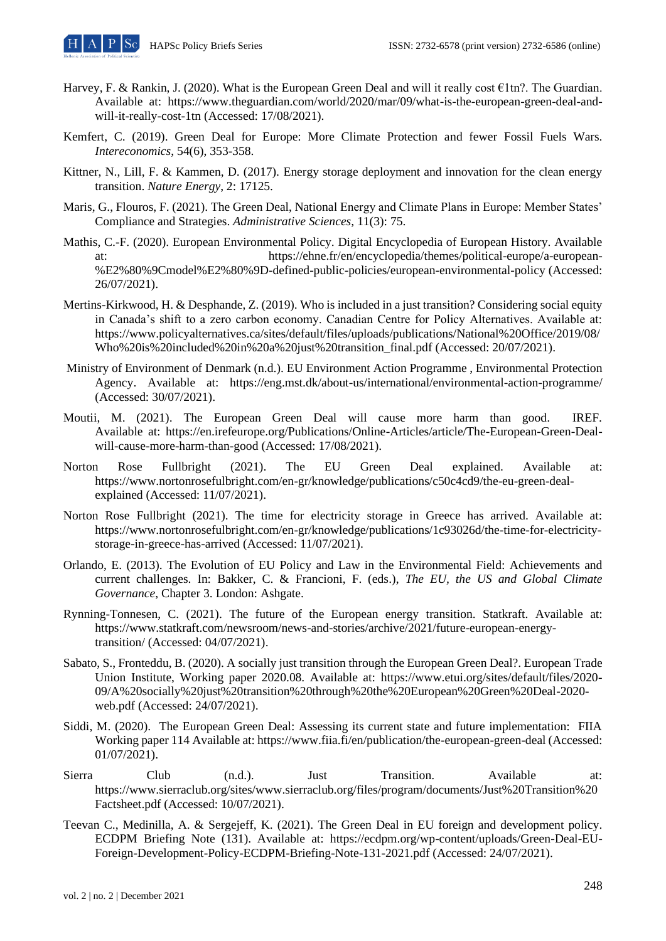- Harvey, F. & Rankin, J. (2020). What is the European Green Deal and will it really cost €1tn?. The Guardian. Available at: https://www.theguardian.com/world/2020/mar/09/what-is-the-european-green-deal-andwill-it-really-cost-1tn (Accessed: 17/08/2021).
- Kemfert, C. (2019). Green Deal for Europe: More Climate Protection and fewer Fossil Fuels Wars. *Intereconomics*, 54(6), 353-358.
- Kittner, N., Lill, F. & Kammen, D. (2017). Energy storage deployment and innovation for the clean energy transition. *Nature Energy*, 2: 17125.
- Maris, G., Flouros, F. (2021). The Green Deal, National Energy and Climate Plans in Europe: Member States' Compliance and Strategies. *Administrative Sciences,* 11(3): 75.
- Mathis, C.-F. (2020). European Environmental Policy. Digital Encyclopedia of European History. Available at: https://ehne.fr/en/encyclopedia/themes/political-europe/a-european- %E2%80%9Cmodel%E2%80%9D-defined-public-policies/european-environmental-policy (Accessed: 26/07/2021).
- Mertins-Kirkwood, H. & Desphande, Z. (2019). Who is included in a just transition? Considering social equity in Canada's shift to a zero carbon economy. Canadian Centre for Policy Alternatives. Available at: https://www.policyalternatives.ca/sites/default/files/uploads/publications/National%20Office/2019/08/ Who%20is%20included%20in%20a%20just%20transition\_final.pdf (Accessed: 20/07/2021).
- Ministry of Environment of Denmark (n.d.). EU Environment Action Programme , Environmental Protection Agency. Available at: https://eng.mst.dk/about-us/international/environmental-action-programme/ (Accessed: 30/07/2021).
- Moutii, M. (2021). The European Green Deal will cause more harm than good. IREF. Available at: https://en.irefeurope.org/Publications/Online-Articles/article/The-European-Green-Dealwill-cause-more-harm-than-good (Accessed: 17/08/2021).
- Norton Rose Fullbright (2021). The EU Green Deal explained. Available at: https://www.nortonrosefulbright.com/en-gr/knowledge/publications/c50c4cd9/the-eu-green-dealexplained (Accessed: 11/07/2021).
- Norton Rose Fullbright (2021). The time for electricity storage in Greece has arrived. Available at: https://www.nortonrosefulbright.com/en-gr/knowledge/publications/1c93026d/the-time-for-electricitystorage-in-greece-has-arrived (Accessed: 11/07/2021).
- Orlando, E. (2013). The Evolution of EU Policy and Law in the Environmental Field: Achievements and current challenges. In: Bakker, C. & Francioni, F. (eds.), *The EU, the US and Global Climate Governance*, Chapter 3. London: Ashgate.
- Rynning-Tonnesen, C. (2021). The future of the European energy transition. Statkraft. Available at: https://www.statkraft.com/newsroom/news-and-stories/archive/2021/future-european-energytransition/ (Accessed: 04/07/2021).
- Sabato, S., Fronteddu, B. (2020). A socially just transition through the European Green Deal?. European Trade Union Institute, Working paper 2020.08. Available at: https://www.etui.org/sites/default/files/2020- 09/A%20socially%20just%20transition%20through%20the%20European%20Green%20Deal-2020 web.pdf (Accessed: 24/07/2021).
- Siddi, M. (2020). The European Green Deal: Assessing its current state and future implementation: FIIA Working paper 114 Available at: https://www.fiia.fi/en/publication/the-european-green-deal (Accessed: 01/07/2021).
- Sierra Club (n.d.). Just Transition. Available at: https://www.sierraclub.org/sites/www.sierraclub.org/files/program/documents/Just%20Transition%20 Factsheet.pdf (Accessed: 10/07/2021).
- Teevan C., Medinilla, A. & Sergejeff, K. (2021). The Green Deal in EU foreign and development policy. ECDPM Briefing Note (131). Available at: https://ecdpm.org/wp-content/uploads/Green-Deal-EU-Foreign-Development-Policy-ECDPM-Briefing-Note-131-2021.pdf (Accessed: 24/07/2021).